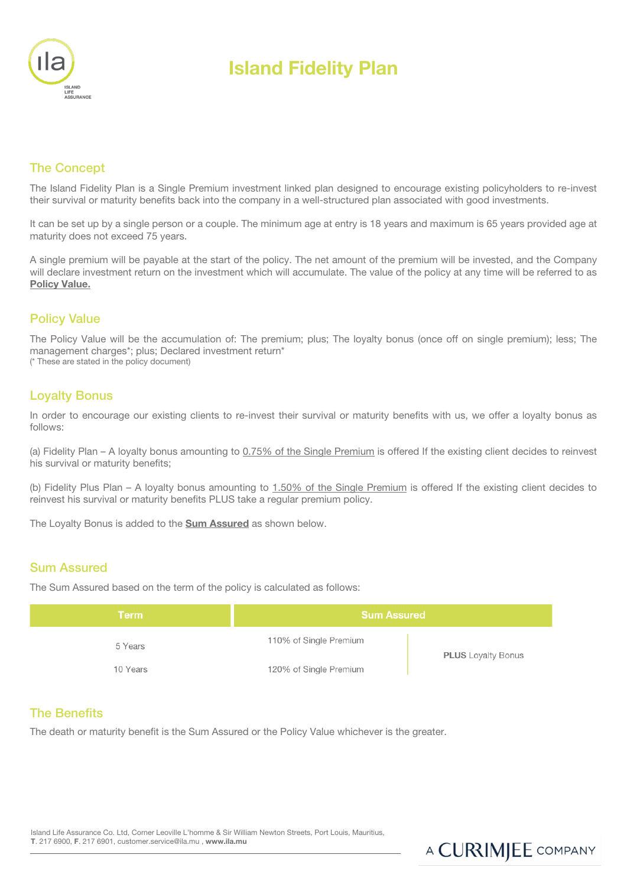

# Island Fidelity Plan

### The Concept

The Island Fidelity Plan is a Single Premium investment linked plan designed to encourage existing policyholders to re-invest their survival or maturity benefits back into the company in a well-structured plan associated with good investments.

It can be set up by a single person or a couple. The minimum age at entry is 18 years and maximum is 65 years provided age at maturity does not exceed 75 years.

A single premium will be payable at the start of the policy. The net amount of the premium will be invested, and the Company will declare investment return on the investment which will accumulate. The value of the policy at any time will be referred to as Policy Value.

#### Policy Value

The Policy Value will be the accumulation of: The premium; plus; The loyalty bonus (once off on single premium); less; The management charges\*; plus; Declared investment return\*

(\* These are stated in the policy document)

#### Loyalty Bonus

In order to encourage our existing clients to re-invest their survival or maturity benefits with us, we offer a loyalty bonus as follows:

(a) Fidelity Plan – A loyalty bonus amounting to 0.75% of the Single Premium is offered If the existing client decides to reinvest his survival or maturity benefits;

(b) Fidelity Plus Plan – A loyalty bonus amounting to 1.50% of the Single Premium is offered If the existing client decides to reinvest his survival or maturity benefits PLUS take a regular premium policy.

The Loyalty Bonus is added to the **Sum Assured** as shown below.

#### Sum Assured

The Sum Assured based on the term of the policy is calculated as follows:

| Term     | <b>Sum Assured</b>     |                           |  |
|----------|------------------------|---------------------------|--|
| 5 Years  | 110% of Single Premium | <b>PLUS</b> Loyalty Bonus |  |
| 10 Years | 120% of Single Premium |                           |  |

#### The Benefits

The death or maturity benefit is the Sum Assured or the Policy Value whichever is the greater.

Island Life Assurance Co. Ltd, Corner Leoville L'homme & Sir William Newton Streets, Port Louis, Mauritius, T. 217 6900, F. 217 6901, customer.service@ila.mu , www.ila.mu

# A CURIMJEE COMPANY